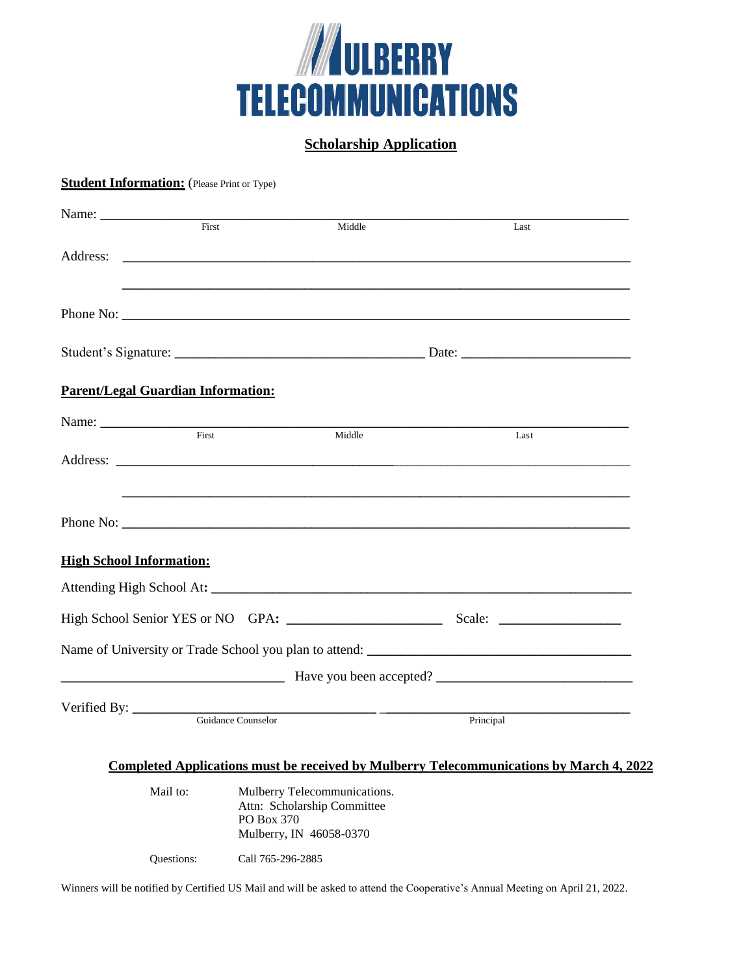

## **Scholarship Application**

## **Student Information:** (Please Print or Type)

| First                                     |  | Middle                                                                      | Last                                                                                                                                                                                                                                 |  |
|-------------------------------------------|--|-----------------------------------------------------------------------------|--------------------------------------------------------------------------------------------------------------------------------------------------------------------------------------------------------------------------------------|--|
|                                           |  |                                                                             |                                                                                                                                                                                                                                      |  |
|                                           |  |                                                                             |                                                                                                                                                                                                                                      |  |
|                                           |  |                                                                             |                                                                                                                                                                                                                                      |  |
|                                           |  |                                                                             |                                                                                                                                                                                                                                      |  |
| <b>Parent/Legal Guardian Information:</b> |  |                                                                             |                                                                                                                                                                                                                                      |  |
|                                           |  |                                                                             |                                                                                                                                                                                                                                      |  |
| First                                     |  | Middle                                                                      | Last                                                                                                                                                                                                                                 |  |
|                                           |  |                                                                             |                                                                                                                                                                                                                                      |  |
|                                           |  |                                                                             | Phone No: <u>the contract of the contract of the contract of the contract of the contract of the contract of the contract of the contract of the contract of the contract of the contract of the contract of the contract of the</u> |  |
| <b>High School Information:</b>           |  |                                                                             |                                                                                                                                                                                                                                      |  |
|                                           |  |                                                                             |                                                                                                                                                                                                                                      |  |
|                                           |  |                                                                             |                                                                                                                                                                                                                                      |  |
|                                           |  |                                                                             |                                                                                                                                                                                                                                      |  |
|                                           |  |                                                                             | Have you been accepted?                                                                                                                                                                                                              |  |
| Verified By:                              |  | <u> 1989 - Johann John Stone, mensk politik (d. 1989)</u>                   |                                                                                                                                                                                                                                      |  |
| Guidance Counselor                        |  |                                                                             | Principal                                                                                                                                                                                                                            |  |
|                                           |  |                                                                             | Completed Applications must be received by Mulberry Telecommunications by March 4, 2022                                                                                                                                              |  |
| Mail to:                                  |  | Mulberry Telecommunications.<br>Attn: Scholarship Committee<br>$PO$ Box 370 |                                                                                                                                                                                                                                      |  |

Questions: Call 765-296-2885

Winners will be notified by Certified US Mail and will be asked to attend the Cooperative's Annual Meeting on April 21, 2022.

Mulberry, IN 46058-0370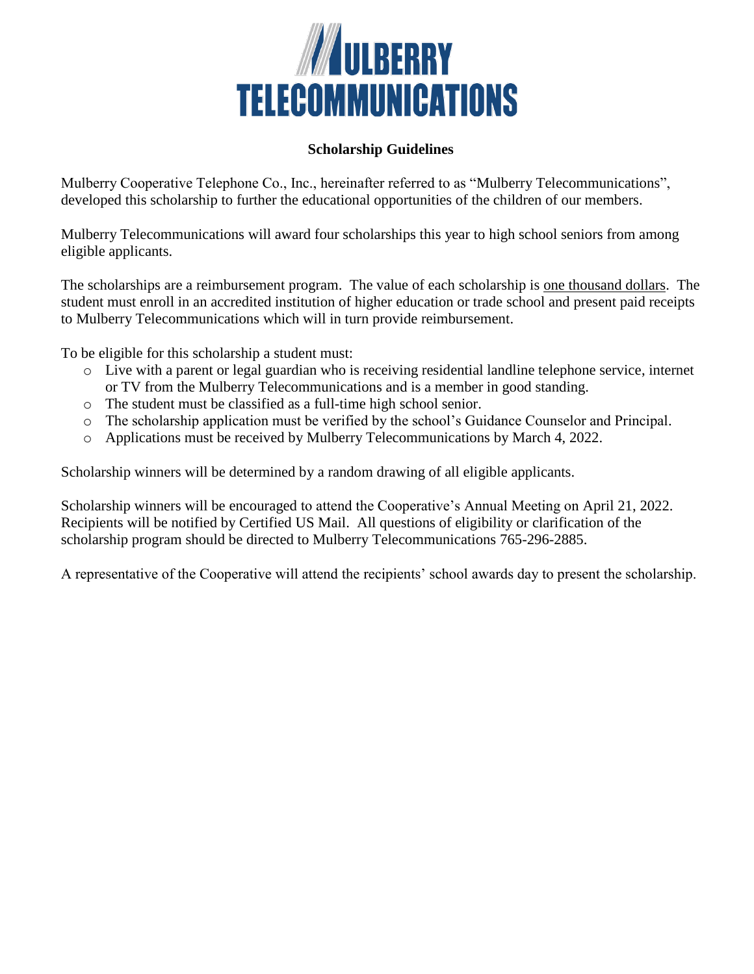

## **Scholarship Guidelines**

Mulberry Cooperative Telephone Co., Inc., hereinafter referred to as "Mulberry Telecommunications", developed this scholarship to further the educational opportunities of the children of our members.

Mulberry Telecommunications will award four scholarships this year to high school seniors from among eligible applicants.

The scholarships are a reimbursement program. The value of each scholarship is one thousand dollars. The student must enroll in an accredited institution of higher education or trade school and present paid receipts to Mulberry Telecommunications which will in turn provide reimbursement.

To be eligible for this scholarship a student must:

- o Live with a parent or legal guardian who is receiving residential landline telephone service, internet or TV from the Mulberry Telecommunications and is a member in good standing.
- o The student must be classified as a full-time high school senior.
- o The scholarship application must be verified by the school's Guidance Counselor and Principal.
- o Applications must be received by Mulberry Telecommunications by March 4, 2022.

Scholarship winners will be determined by a random drawing of all eligible applicants.

Scholarship winners will be encouraged to attend the Cooperative's Annual Meeting on April 21, 2022. Recipients will be notified by Certified US Mail. All questions of eligibility or clarification of the scholarship program should be directed to Mulberry Telecommunications 765-296-2885.

A representative of the Cooperative will attend the recipients' school awards day to present the scholarship.